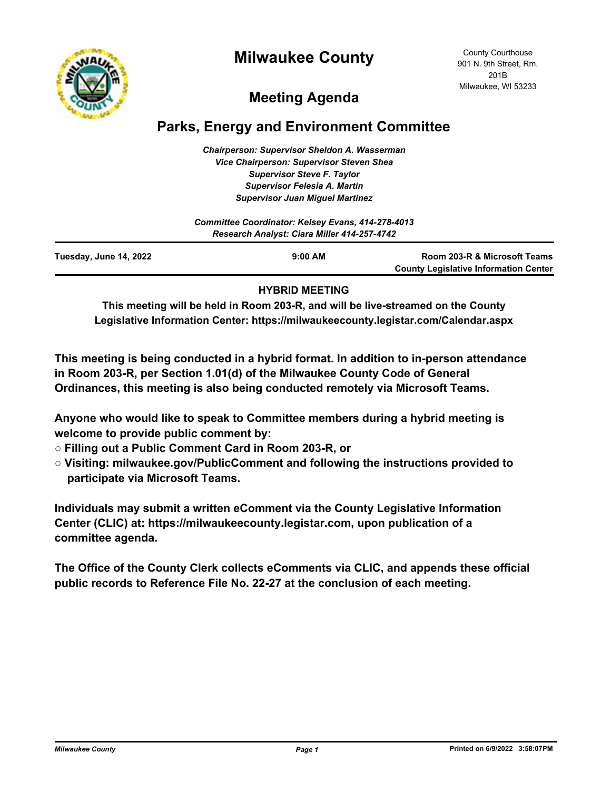



County Courthouse 901 N. 9th Street, Rm. 201B Milwaukee, WI 53233

# **Meeting Agenda**

## **Parks, Energy and Environment Committee**

*Chairperson: Supervisor Sheldon A. Wasserman Vice Chairperson: Supervisor Steven Shea Supervisor Steve F. Taylor Supervisor Felesia A. Martin Supervisor Juan Miguel Martinez*

| Committee Coordinator: Kelsey Evans, 414-278-4013<br>Research Analyst: Ciara Miller 414-257-4742 |           |                                                                              |
|--------------------------------------------------------------------------------------------------|-----------|------------------------------------------------------------------------------|
| Tuesday, June 14, 2022                                                                           | $9:00$ AM | Room 203-R & Microsoft Teams<br><b>County Legislative Information Center</b> |

#### **HYBRID MEETING**

**This meeting will be held in Room 203-R, and will be live-streamed on the County Legislative Information Center: https://milwaukeecounty.legistar.com/Calendar.aspx**

**This meeting is being conducted in a hybrid format. In addition to in-person attendance in Room 203-R, per Section 1.01(d) of the Milwaukee County Code of General Ordinances, this meeting is also being conducted remotely via Microsoft Teams.**

**Anyone who would like to speak to Committee members during a hybrid meeting is welcome to provide public comment by:**

- **Filling out a Public Comment Card in Room 203-R, or**
- **Visiting: milwaukee.gov/PublicComment and following the instructions provided to participate via Microsoft Teams.**

**Individuals may submit a written eComment via the County Legislative Information Center (CLIC) at: https://milwaukeecounty.legistar.com, upon publication of a committee agenda.**

**The Office of the County Clerk collects eComments via CLIC, and appends these official public records to Reference File No. 22-27 at the conclusion of each meeting.**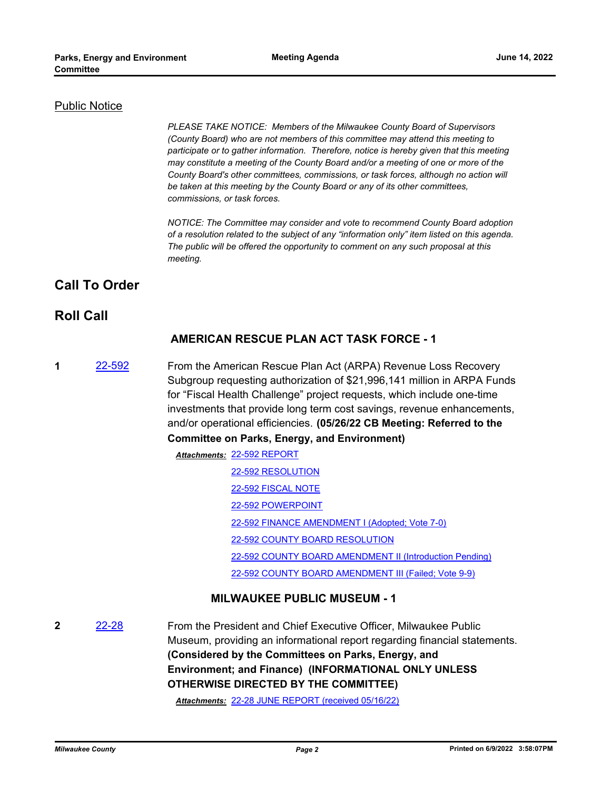#### Public Notice

*PLEASE TAKE NOTICE: Members of the Milwaukee County Board of Supervisors (County Board) who are not members of this committee may attend this meeting to participate or to gather information. Therefore, notice is hereby given that this meeting may constitute a meeting of the County Board and/or a meeting of one or more of the County Board's other committees, commissions, or task forces, although no action will be taken at this meeting by the County Board or any of its other committees, commissions, or task forces.*

*NOTICE: The Committee may consider and vote to recommend County Board adoption of a resolution related to the subject of any "information only" item listed on this agenda. The public will be offered the opportunity to comment on any such proposal at this meeting.*

## **Call To Order**

### **Roll Call**

#### **AMERICAN RESCUE PLAN ACT TASK FORCE - 1**

- **1** [22-592](http://milwaukeecounty.legistar.com/gateway.aspx?m=l&id=/matter.aspx?key=12252) From the American Rescue Plan Act (ARPA) Revenue Loss Recovery Subgroup requesting authorization of \$21,996,141 million in ARPA Funds for "Fiscal Health Challenge" project requests, which include one-time investments that provide long term cost savings, revenue enhancements, and/or operational efficiencies. **(05/26/22 CB Meeting: Referred to the Committee on Parks, Energy, and Environment)**
	- [22-592 REPORT](http://MilwaukeeCounty.legistar.com/gateway.aspx?M=F&ID=49a9ec05-8b0b-4441-b3a5-34a04f6ac206.dotx) *Attachments:* [22-592 RESOLUTION](http://MilwaukeeCounty.legistar.com/gateway.aspx?M=F&ID=a5baeadb-d911-4c46-b296-917e3643f79b.docx) [22-592 FISCAL NOTE](http://MilwaukeeCounty.legistar.com/gateway.aspx?M=F&ID=64a975b8-d018-403c-9974-10d9c532646c.doc) [22-592 POWERPOINT](http://MilwaukeeCounty.legistar.com/gateway.aspx?M=F&ID=fa05683c-5b4a-4b1f-8b55-8d5719ae8270.pdf) [22-592 FINANCE AMENDMENT I \(Adopted; Vote 7-0\)](http://MilwaukeeCounty.legistar.com/gateway.aspx?M=F&ID=b19c82ef-d225-464c-8ed1-5d00b4ea4674.docx) [22-592 COUNTY BOARD RESOLUTION](http://MilwaukeeCounty.legistar.com/gateway.aspx?M=F&ID=6692412a-7606-4785-8b72-4e149d8a3dd4.pdf) [22-592 COUNTY BOARD AMENDMENT II \(Introduction Pending\)](http://MilwaukeeCounty.legistar.com/gateway.aspx?M=F&ID=f91f0bfb-684f-4722-89e6-205fac54f0e2.docx) [22-592 COUNTY BOARD AMENDMENT III \(Failed; Vote 9-9\)](http://MilwaukeeCounty.legistar.com/gateway.aspx?M=F&ID=822dbc06-71ff-4403-9baf-e00c8019eeb4.docx)

#### **MILWAUKEE PUBLIC MUSEUM - 1**

**2** [22-28](http://milwaukeecounty.legistar.com/gateway.aspx?m=l&id=/matter.aspx?key=11850) From the President and Chief Executive Officer, Milwaukee Public Museum, providing an informational report regarding financial statements. **(Considered by the Committees on Parks, Energy, and Environment; and Finance) (INFORMATIONAL ONLY UNLESS OTHERWISE DIRECTED BY THE COMMITTEE)**

*Attachments:* [22-28 JUNE REPORT \(received 05/16/22\)](http://MilwaukeeCounty.legistar.com/gateway.aspx?M=F&ID=c6c114ee-2407-4e19-b5b1-a0e1852eca97.pdf)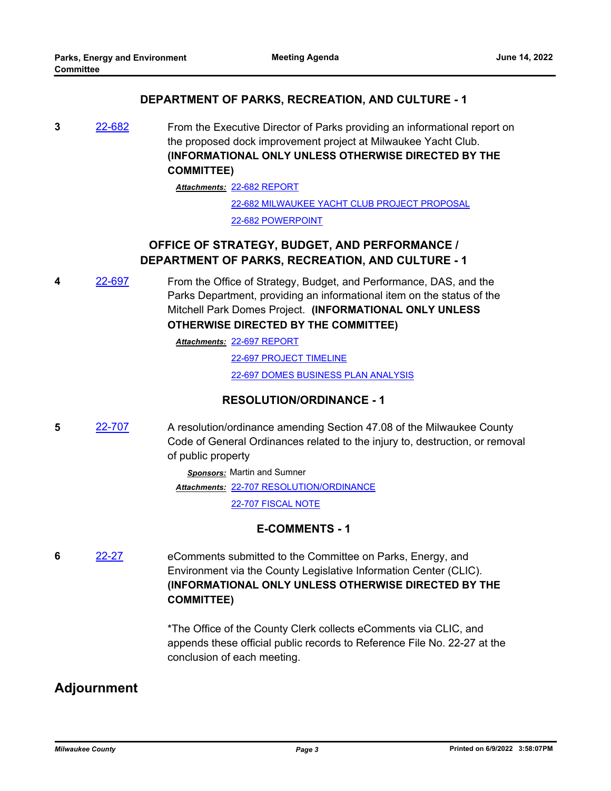#### **DEPARTMENT OF PARKS, RECREATION, AND CULTURE - 1**

**3** [22-682](http://milwaukeecounty.legistar.com/gateway.aspx?m=l&id=/matter.aspx?key=12380) From the Executive Director of Parks providing an informational report on the proposed dock improvement project at Milwaukee Yacht Club. **(INFORMATIONAL ONLY UNLESS OTHERWISE DIRECTED BY THE COMMITTEE)**

[22-682 REPORT](http://MilwaukeeCounty.legistar.com/gateway.aspx?M=F&ID=74bc6690-d65a-4032-8ae4-67e1044d0669.pdf) *Attachments:*

[22-682 MILWAUKEE YACHT CLUB PROJECT PROPOSAL](http://MilwaukeeCounty.legistar.com/gateway.aspx?M=F&ID=401e3ceb-6d1c-466a-aa9f-07647c588d0b.pdf) [22-682 POWERPOINT](http://MilwaukeeCounty.legistar.com/gateway.aspx?M=F&ID=b271c349-e96f-43ff-b760-31562a2ae55d.pdf)

## **OFFICE OF STRATEGY, BUDGET, AND PERFORMANCE / DEPARTMENT OF PARKS, RECREATION, AND CULTURE - 1**

**4** [22-697](http://milwaukeecounty.legistar.com/gateway.aspx?m=l&id=/matter.aspx?key=12396) From the Office of Strategy, Budget, and Performance, DAS, and the Parks Department, providing an informational item on the status of the Mitchell Park Domes Project. **(INFORMATIONAL ONLY UNLESS OTHERWISE DIRECTED BY THE COMMITTEE)**

[22-697 REPORT](http://MilwaukeeCounty.legistar.com/gateway.aspx?M=F&ID=43d51882-dd25-415e-a24e-0e9091420706.docx) *Attachments:*

[22-697 PROJECT TIMELINE](http://MilwaukeeCounty.legistar.com/gateway.aspx?M=F&ID=bf05d4b2-a51c-4ab7-bb72-db2819b4bdd4.docx) [22-697 DOMES BUSINESS PLAN ANALYSIS](http://MilwaukeeCounty.legistar.com/gateway.aspx?M=F&ID=670c4963-1908-47a3-aa4a-66891302b676.pdf)

#### **RESOLUTION/ORDINANCE - 1**

**5** [22-707](http://milwaukeecounty.legistar.com/gateway.aspx?m=l&id=/matter.aspx?key=12406) A resolution/ordinance amending Section 47.08 of the Milwaukee County Code of General Ordinances related to the injury to, destruction, or removal of public property

*Sponsors:* Martin and Sumner

[22-707 RESOLUTION/ORDINANCE](http://MilwaukeeCounty.legistar.com/gateway.aspx?M=F&ID=a521126b-34c8-491f-8057-1a9e19adb714.docx) *Attachments:*

[22-707 FISCAL NOTE](http://MilwaukeeCounty.legistar.com/gateway.aspx?M=F&ID=985b8ce1-0b60-4ee6-809b-8f0aecaec8f0.pdf)

#### **E-COMMENTS - 1**

**6** [22-27](http://milwaukeecounty.legistar.com/gateway.aspx?m=l&id=/matter.aspx?key=11849) eComments submitted to the Committee on Parks, Energy, and Environment via the County Legislative Information Center (CLIC). **(INFORMATIONAL ONLY UNLESS OTHERWISE DIRECTED BY THE COMMITTEE)**

> \*The Office of the County Clerk collects eComments via CLIC, and appends these official public records to Reference File No. 22-27 at the conclusion of each meeting.

## **Adjournment**